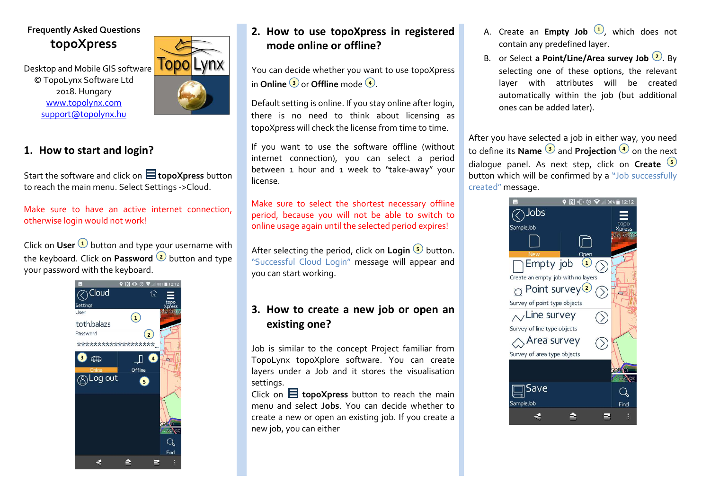# **Frequently Asked Questions topoXpress**

Desktop and Mobile GIS software © TopoLynx Software Ltd 2018. Hungary www.topolynx.comsupport@topolynx.hu



### **1. How to start and login?**

Start the software and click on  $\Xi$  topoXpress button to reach the main menu. Select Settings ->Cloud.

Make sure to have an active internet connection, otherwise login would not work!

Click on **User**  $\bigcup$  button and type your username with the keyboard. Click on **Password**  $\sp(2)$  button and type your password with the keyboard.



# **2. How to use topoXpress in registered mode online or offline?**

You can decide whether you want to use topoXpress **in Online**  $\overline{\mathbf{3}}$  **or Offline** mode  $\overline{\mathbf{4}}$  .

Default setting is online. If you stay online after login, there is no need to think about licensing as topoXpress will check the license from time to time. If you want to use the software offline (without

internet connection), you can select a period between 1 hour and 1 week to "take-away" your license.

Make sure to select the shortest necessary offline period, because you will not be able to switch to online usage again until the selected period expires!

After selecting the period, click on **Login**  $\bullet$  button. "Successful Cloud Login" message will appear and you can start working.

## **3. How to create a new job or open an existing one?**

Job is similar to the concept Project familiar from TopoLynx topoXplore software. You can create layers under a Job and it stores the visualisation settings.

Click on  $\blacksquare$  topoXpress button to reach the main menu and select **Jobs**. You can decide whether to create a new or open an existing job. If you create a new job, you can either

- A. Create an **Empty Job <sup>1</sup>,** which does not contain any predefined layer.
- B. or Select **a Point/Line/Area survey Job <sup>2</sup>.** By selecting one of these options, the relevant layer with attributes will be created automatically within the job (but additional ones can be added later).

After you have selected a job in either way, you need to define its **Name 3** and **Projection 4** on the next dialogue panel. As next step, click on **Create5** button which will be confirmed by a "Job successfully created" message.

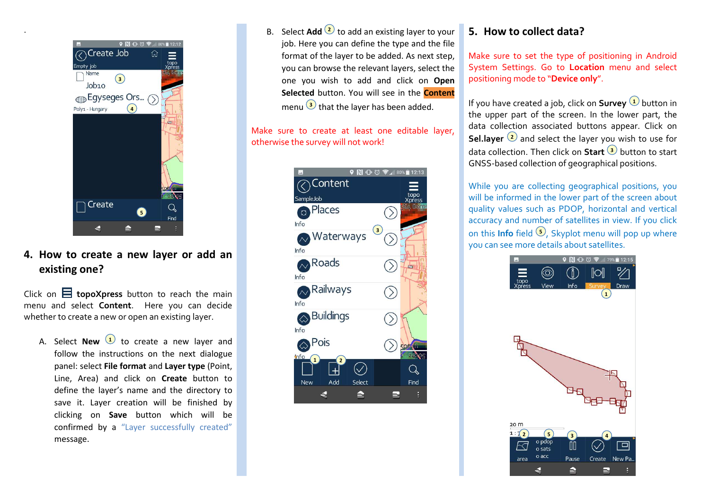

### **4. How to create a new layer or add an existing one?**

Click on  $\Xi$  topoXpress button to reach the main menu and select **Content**. Here you can decide whether to create a new or open an existing layer.

A. Select **New 1** to create a new layer and follow the instructions on the next dialogue panel: select **File format** and **Layer type** (Point, Line, Area) and click on **Create** button to define the layer's name and the directory to save it. Layer creation will be finished by clicking on **Save** button which will be confirmed by a "Layer successfully created"message.

B. Select **Add** 2 to add an existing layer to your job. Here you can define the type and the file format of the layer to be added. As next step, you can browse the relevant layers, select the one you wish to add and click on **Open Selected** button. You will see in the **Content**menu  $\bigcirc$  that the layer has been added.

Make sure to create at least one editable layer, otherwise the survey will not work!



#### **5. How to collect data?**

Make sure to set the type of positioning in Android System Settings. Go to **Location** menu and select positioning mode to "**Device only**".

 $\overline{\textbf{B}}$  that the layer has been added **the sum of the UP** vou have created a job, click on **Survey**  $\overline{\textbf{U}}$  button in the upper part of the screen. In the lower part, the data collection associated buttons appear. Click onSel.layer <sup>(2)</sup> and select the layer you wish to use for data collection. Then click on **Start** button to start **3** GNSS-based collection of geographical positions.

> While you are collecting geographical positions, you will be informed in the lower part of the screen about quality values such as PDOP, horizontal and vertical accuracy and number of satellites in view. If you click on this **Info** field  $\bullet$ , Skyplot menu will pop up where you can see more details about satellites.

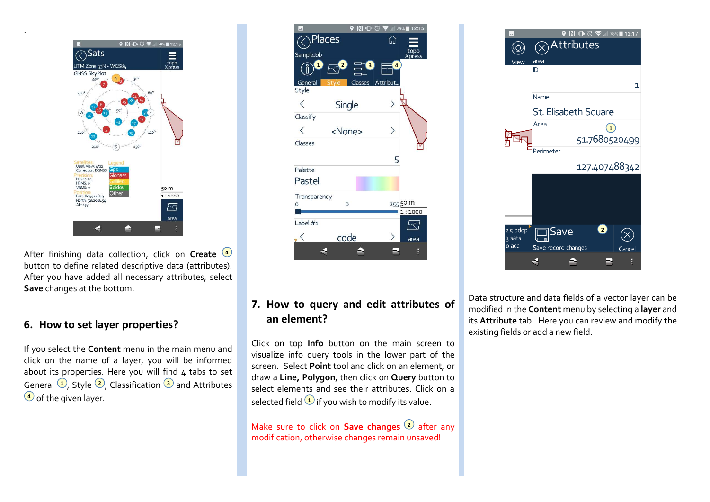

 button to define related descriptive data (attributes). After you have added all necessary attributes, select **Save** changes at the bottom. **4**

#### **6. How to set layer properties?**

If you select the **Content** menu in the main menu and click on the name of a layer, you will be informed about its properties. Here you will find  $4$  tabs to set General  $\bigcup$ , Style  $\bigcirc$ , Classification  $\bigcirc$  and Attributes **d** of the given layer.  $\qquad \qquad \qquad$  selected field  $\qquad \qquad \qquad$ 

![](_page_2_Figure_4.jpeg)

## **7. How to query and edit attributes of an element?**

Click on top **Info** button on the main screen to visualize info query tools in the lower part of the screen. Select **Point** tool and click on an element, or draw a **Line, Polygon**, then click on **Query** button to select elements and see their attributes. Click on a selected field  $\bigcup$  if you wish to modify its value.

Make sure to click on **Save changes**  $\mathcal Q$  after any modification, otherwise changes remain unsaved!

![](_page_2_Figure_8.jpeg)

Data structure and data fields of a vector layer can be modified in the **Content** menu by selecting a **layer** and its **Attribute** tab. Here you can review and modify the existing fields or add a new field.